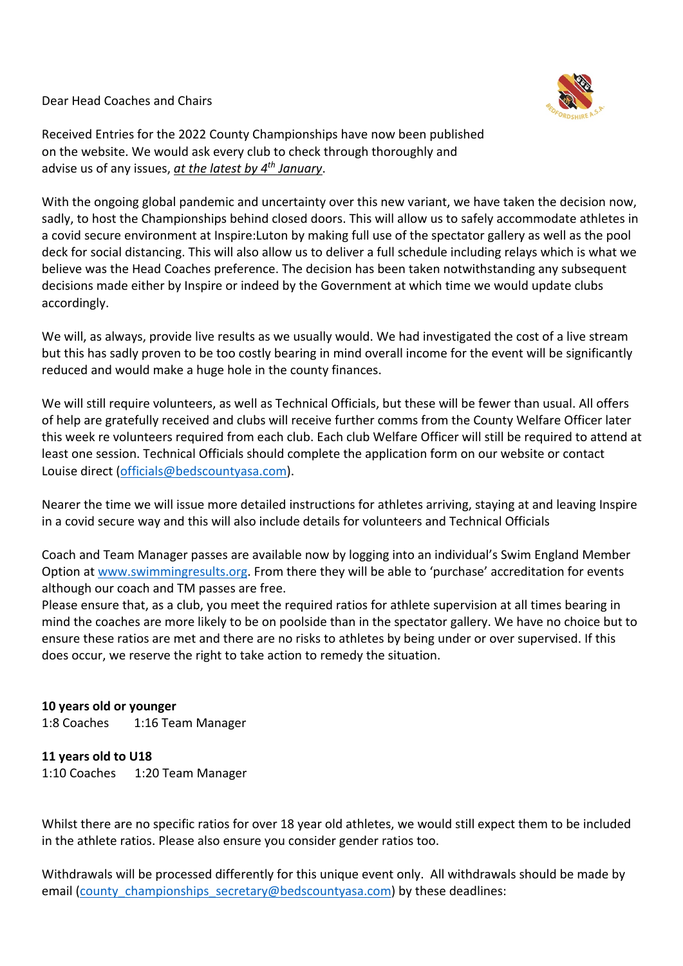Dear Head Coaches and Chairs



Received Entries for the 2022 County Championships have now been published on the website. We would ask every club to check through thoroughly and advise us of any issues, *at the latest by 4th January*.

With the ongoing global pandemic and uncertainty over this new variant, we have taken the decision now, sadly, to host the Championships behind closed doors. This will allow us to safely accommodate athletes in a covid secure environment at Inspire:Luton by making full use of the spectator gallery as well as the pool deck for social distancing. This will also allow us to deliver a full schedule including relays which is what we believe was the Head Coaches preference. The decision has been taken notwithstanding any subsequent decisions made either by Inspire or indeed by the Government at which time we would update clubs accordingly.

We will, as always, provide live results as we usually would. We had investigated the cost of a live stream but this has sadly proven to be too costly bearing in mind overall income for the event will be significantly reduced and would make a huge hole in the county finances.

We will still require volunteers, as well as Technical Officials, but these will be fewer than usual. All offers of help are gratefully received and clubs will receive further comms from the County Welfare Officer later this week re volunteers required from each club. Each club Welfare Officer will still be required to attend at least one session. Technical Officials should complete the application form on our website or contact Louise direct (officials@bedscountyasa.com).

Nearer the time we will issue more detailed instructions for athletes arriving, staying at and leaving Inspire in a covid secure way and this will also include details for volunteers and Technical Officials

Coach and Team Manager passes are available now by logging into an individual's Swim England Member Option at www.swimmingresults.org. From there they will be able to 'purchase' accreditation for events although our coach and TM passes are free.

Please ensure that, as a club, you meet the required ratios for athlete supervision at all times bearing in mind the coaches are more likely to be on poolside than in the spectator gallery. We have no choice but to ensure these ratios are met and there are no risks to athletes by being under or over supervised. If this does occur, we reserve the right to take action to remedy the situation.

## **10 years old or younger**

1:8 Coaches 1:16 Team Manager

**11 years old to U18** 1:10 Coaches 1:20 Team Manager

Whilst there are no specific ratios for over 18 year old athletes, we would still expect them to be included in the athlete ratios. Please also ensure you consider gender ratios too.

Withdrawals will be processed differently for this unique event only. All withdrawals should be made by email (county championships secretary@bedscountyasa.com) by these deadlines: